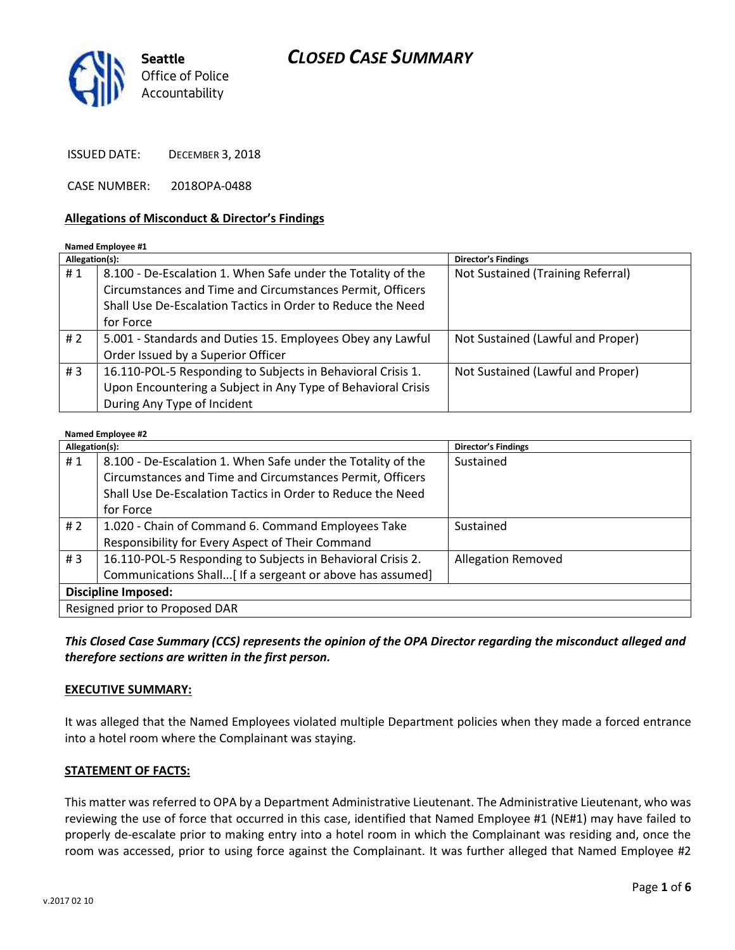## *CLOSED CASE SUMMARY*



ISSUED DATE: DECEMBER 3, 2018

CASE NUMBER: 2018OPA-0488

#### **Allegations of Misconduct & Director's Findings**

#### **Named Employee #1**

| Allegation(s): |                                                              | Director's Findings               |
|----------------|--------------------------------------------------------------|-----------------------------------|
| #1             | 8.100 - De-Escalation 1. When Safe under the Totality of the | Not Sustained (Training Referral) |
|                | Circumstances and Time and Circumstances Permit, Officers    |                                   |
|                | Shall Use De-Escalation Tactics in Order to Reduce the Need  |                                   |
|                | for Force                                                    |                                   |
| #2             | 5.001 - Standards and Duties 15. Employees Obey any Lawful   | Not Sustained (Lawful and Proper) |
|                | Order Issued by a Superior Officer                           |                                   |
| #3             | 16.110-POL-5 Responding to Subjects in Behavioral Crisis 1.  | Not Sustained (Lawful and Proper) |
|                | Upon Encountering a Subject in Any Type of Behavioral Crisis |                                   |
|                | During Any Type of Incident                                  |                                   |

#### **Named Employee #2**

| $r_{\rm{c}}$<br>Allegation(s): |                                                              | Director's Findings       |  |
|--------------------------------|--------------------------------------------------------------|---------------------------|--|
| #1                             | 8.100 - De-Escalation 1. When Safe under the Totality of the | Sustained                 |  |
|                                | Circumstances and Time and Circumstances Permit, Officers    |                           |  |
|                                | Shall Use De-Escalation Tactics in Order to Reduce the Need  |                           |  |
|                                | for Force                                                    |                           |  |
| #2                             | 1.020 - Chain of Command 6. Command Employees Take           | Sustained                 |  |
|                                | Responsibility for Every Aspect of Their Command             |                           |  |
| #3                             | 16.110-POL-5 Responding to Subjects in Behavioral Crisis 2.  | <b>Allegation Removed</b> |  |
|                                | Communications Shall[ If a sergeant or above has assumed]    |                           |  |
| <b>Discipline Imposed:</b>     |                                                              |                           |  |
| Resigned prior to Proposed DAR |                                                              |                           |  |

*This Closed Case Summary (CCS) represents the opinion of the OPA Director regarding the misconduct alleged and therefore sections are written in the first person.* 

#### **EXECUTIVE SUMMARY:**

It was alleged that the Named Employees violated multiple Department policies when they made a forced entrance into a hotel room where the Complainant was staying.

#### **STATEMENT OF FACTS:**

This matter was referred to OPA by a Department Administrative Lieutenant. The Administrative Lieutenant, who was reviewing the use of force that occurred in this case, identified that Named Employee #1 (NE#1) may have failed to properly de-escalate prior to making entry into a hotel room in which the Complainant was residing and, once the room was accessed, prior to using force against the Complainant. It was further alleged that Named Employee #2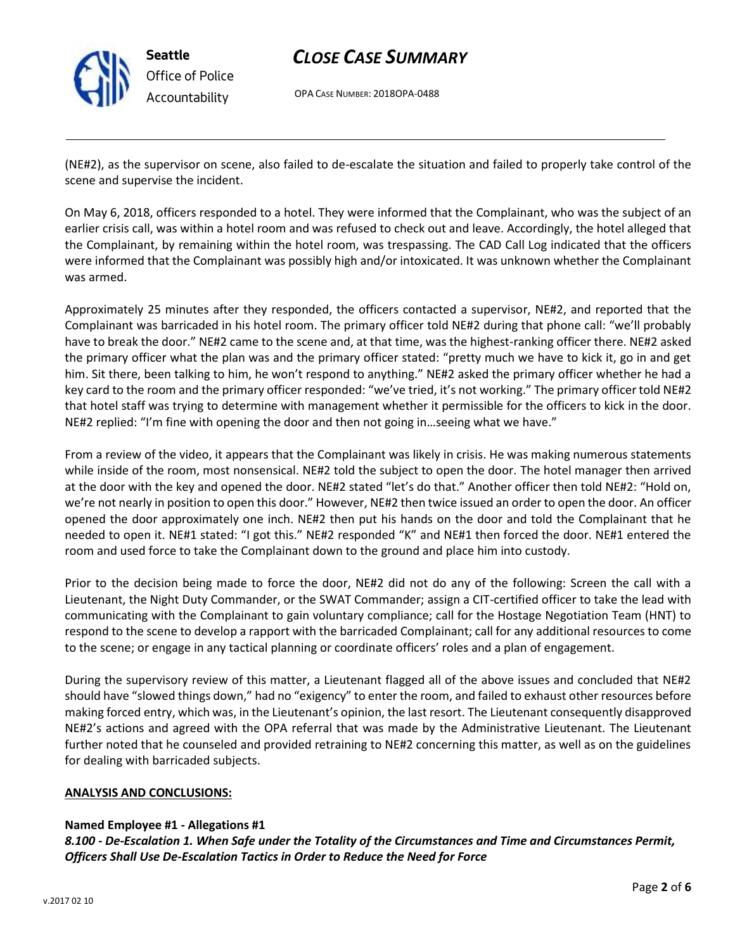

## *CLOSE CASE SUMMARY*

OPA CASE NUMBER: 2018OPA-0488

(NE#2), as the supervisor on scene, also failed to de-escalate the situation and failed to properly take control of the scene and supervise the incident.

On May 6, 2018, officers responded to a hotel. They were informed that the Complainant, who was the subject of an earlier crisis call, was within a hotel room and was refused to check out and leave. Accordingly, the hotel alleged that the Complainant, by remaining within the hotel room, was trespassing. The CAD Call Log indicated that the officers were informed that the Complainant was possibly high and/or intoxicated. It was unknown whether the Complainant was armed.

Approximately 25 minutes after they responded, the officers contacted a supervisor, NE#2, and reported that the Complainant was barricaded in his hotel room. The primary officer told NE#2 during that phone call: "we'll probably have to break the door." NE#2 came to the scene and, at that time, was the highest-ranking officer there. NE#2 asked the primary officer what the plan was and the primary officer stated: "pretty much we have to kick it, go in and get him. Sit there, been talking to him, he won't respond to anything." NE#2 asked the primary officer whether he had a key card to the room and the primary officer responded: "we've tried, it's not working." The primary officer told NE#2 that hotel staff was trying to determine with management whether it permissible for the officers to kick in the door. NE#2 replied: "I'm fine with opening the door and then not going in…seeing what we have."

From a review of the video, it appears that the Complainant was likely in crisis. He was making numerous statements while inside of the room, most nonsensical. NE#2 told the subject to open the door. The hotel manager then arrived at the door with the key and opened the door. NE#2 stated "let's do that." Another officer then told NE#2: "Hold on, we're not nearly in position to open this door." However, NE#2 then twice issued an order to open the door. An officer opened the door approximately one inch. NE#2 then put his hands on the door and told the Complainant that he needed to open it. NE#1 stated: "I got this." NE#2 responded "K" and NE#1 then forced the door. NE#1 entered the room and used force to take the Complainant down to the ground and place him into custody.

Prior to the decision being made to force the door, NE#2 did not do any of the following: Screen the call with a Lieutenant, the Night Duty Commander, or the SWAT Commander; assign a CIT-certified officer to take the lead with communicating with the Complainant to gain voluntary compliance; call for the Hostage Negotiation Team (HNT) to respond to the scene to develop a rapport with the barricaded Complainant; call for any additional resources to come to the scene; or engage in any tactical planning or coordinate officers' roles and a plan of engagement.

During the supervisory review of this matter, a Lieutenant flagged all of the above issues and concluded that NE#2 should have "slowed things down," had no "exigency" to enter the room, and failed to exhaust other resources before making forced entry, which was, in the Lieutenant's opinion, the last resort. The Lieutenant consequently disapproved NE#2's actions and agreed with the OPA referral that was made by the Administrative Lieutenant. The Lieutenant further noted that he counseled and provided retraining to NE#2 concerning this matter, as well as on the guidelines for dealing with barricaded subjects.

#### **ANALYSIS AND CONCLUSIONS:**

### **Named Employee #1 - Allegations #1**

*8.100 - De-Escalation 1. When Safe under the Totality of the Circumstances and Time and Circumstances Permit, Officers Shall Use De-Escalation Tactics in Order to Reduce the Need for Force*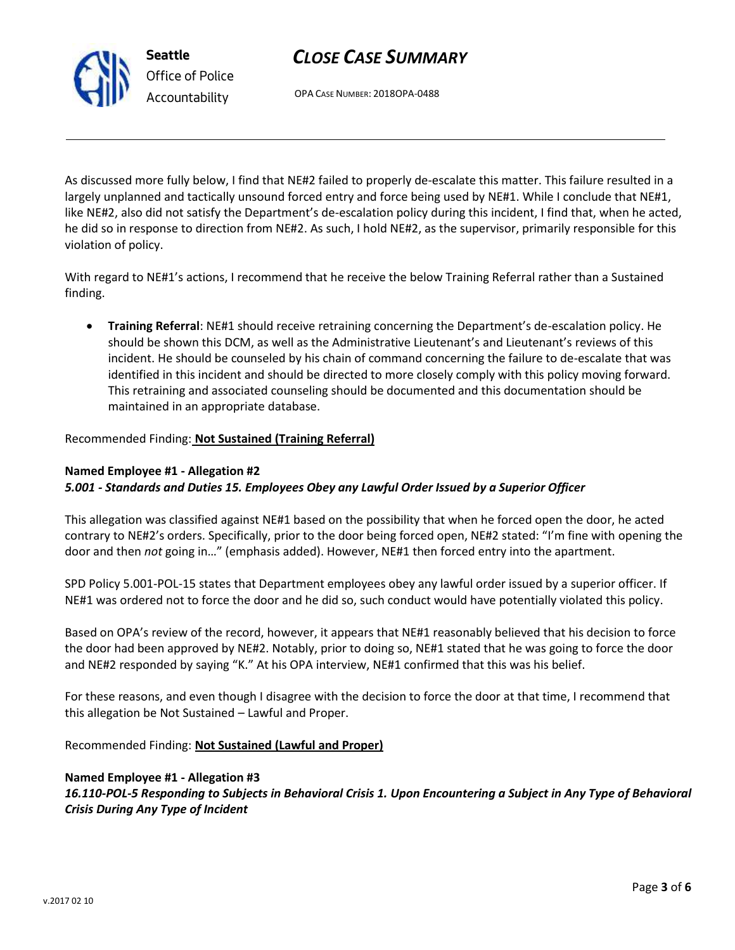# *CLOSE CASE SUMMARY*

OPA CASE NUMBER: 2018OPA-0488

As discussed more fully below, I find that NE#2 failed to properly de-escalate this matter. This failure resulted in a largely unplanned and tactically unsound forced entry and force being used by NE#1. While I conclude that NE#1, like NE#2, also did not satisfy the Department's de-escalation policy during this incident, I find that, when he acted, he did so in response to direction from NE#2. As such, I hold NE#2, as the supervisor, primarily responsible for this violation of policy.

With regard to NE#1's actions, I recommend that he receive the below Training Referral rather than a Sustained finding.

• **Training Referral**: NE#1 should receive retraining concerning the Department's de-escalation policy. He should be shown this DCM, as well as the Administrative Lieutenant's and Lieutenant's reviews of this incident. He should be counseled by his chain of command concerning the failure to de-escalate that was identified in this incident and should be directed to more closely comply with this policy moving forward. This retraining and associated counseling should be documented and this documentation should be maintained in an appropriate database.

#### Recommended Finding: **Not Sustained (Training Referral)**

#### **Named Employee #1 - Allegation #2** *5.001 - Standards and Duties 15. Employees Obey any Lawful Order Issued by a Superior Officer*

This allegation was classified against NE#1 based on the possibility that when he forced open the door, he acted contrary to NE#2's orders. Specifically, prior to the door being forced open, NE#2 stated: "I'm fine with opening the door and then *not* going in…" (emphasis added). However, NE#1 then forced entry into the apartment.

SPD Policy 5.001-POL-15 states that Department employees obey any lawful order issued by a superior officer. If NE#1 was ordered not to force the door and he did so, such conduct would have potentially violated this policy.

Based on OPA's review of the record, however, it appears that NE#1 reasonably believed that his decision to force the door had been approved by NE#2. Notably, prior to doing so, NE#1 stated that he was going to force the door and NE#2 responded by saying "K." At his OPA interview, NE#1 confirmed that this was his belief.

For these reasons, and even though I disagree with the decision to force the door at that time, I recommend that this allegation be Not Sustained – Lawful and Proper.

Recommended Finding: **Not Sustained (Lawful and Proper)**

#### **Named Employee #1 - Allegation #3**

*16.110-POL-5 Responding to Subjects in Behavioral Crisis 1. Upon Encountering a Subject in Any Type of Behavioral Crisis During Any Type of Incident*

Page **3** of **6**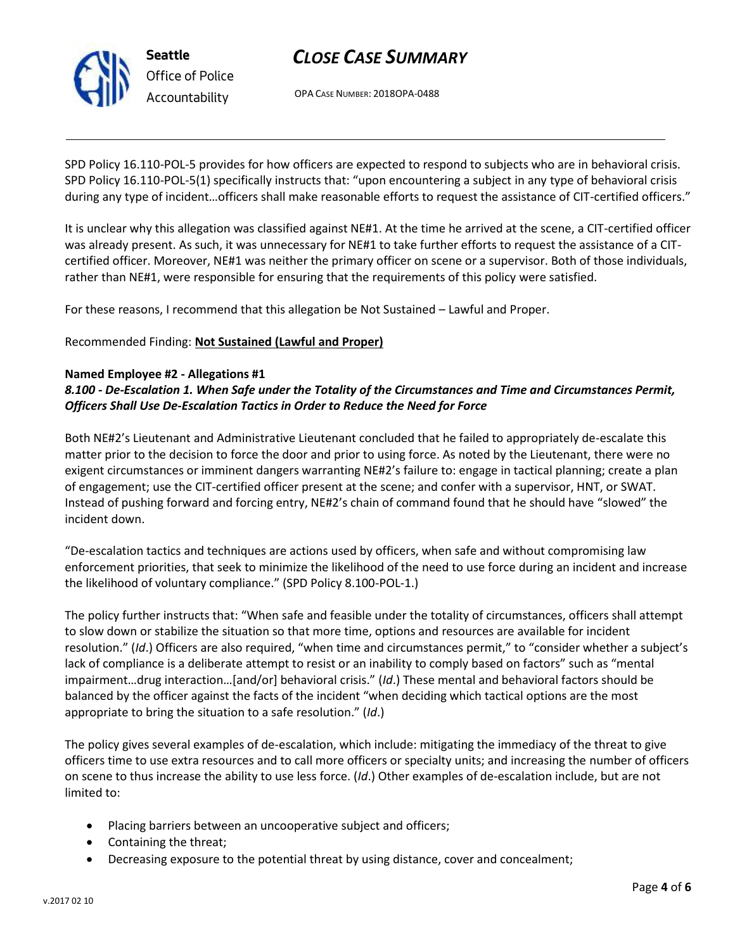

**Seattle** *Office of Police Accountability*

# *CLOSE CASE SUMMARY*

OPA CASE NUMBER: 2018OPA-0488

SPD Policy 16.110-POL-5 provides for how officers are expected to respond to subjects who are in behavioral crisis. SPD Policy 16.110-POL-5(1) specifically instructs that: "upon encountering a subject in any type of behavioral crisis during any type of incident…officers shall make reasonable efforts to request the assistance of CIT-certified officers."

It is unclear why this allegation was classified against NE#1. At the time he arrived at the scene, a CIT-certified officer was already present. As such, it was unnecessary for NE#1 to take further efforts to request the assistance of a CITcertified officer. Moreover, NE#1 was neither the primary officer on scene or a supervisor. Both of those individuals, rather than NE#1, were responsible for ensuring that the requirements of this policy were satisfied.

For these reasons, I recommend that this allegation be Not Sustained – Lawful and Proper.

Recommended Finding: **Not Sustained (Lawful and Proper)**

### **Named Employee #2 - Allegations #1**

### *8.100 - De-Escalation 1. When Safe under the Totality of the Circumstances and Time and Circumstances Permit, Officers Shall Use De-Escalation Tactics in Order to Reduce the Need for Force*

Both NE#2's Lieutenant and Administrative Lieutenant concluded that he failed to appropriately de-escalate this matter prior to the decision to force the door and prior to using force. As noted by the Lieutenant, there were no exigent circumstances or imminent dangers warranting NE#2's failure to: engage in tactical planning; create a plan of engagement; use the CIT-certified officer present at the scene; and confer with a supervisor, HNT, or SWAT. Instead of pushing forward and forcing entry, NE#2's chain of command found that he should have "slowed" the incident down.

"De-escalation tactics and techniques are actions used by officers, when safe and without compromising law enforcement priorities, that seek to minimize the likelihood of the need to use force during an incident and increase the likelihood of voluntary compliance." (SPD Policy 8.100-POL-1.)

The policy further instructs that: "When safe and feasible under the totality of circumstances, officers shall attempt to slow down or stabilize the situation so that more time, options and resources are available for incident resolution." (*Id*.) Officers are also required, "when time and circumstances permit," to "consider whether a subject's lack of compliance is a deliberate attempt to resist or an inability to comply based on factors" such as "mental impairment…drug interaction…[and/or] behavioral crisis." (*Id*.) These mental and behavioral factors should be balanced by the officer against the facts of the incident "when deciding which tactical options are the most appropriate to bring the situation to a safe resolution." (*Id*.)

The policy gives several examples of de-escalation, which include: mitigating the immediacy of the threat to give officers time to use extra resources and to call more officers or specialty units; and increasing the number of officers on scene to thus increase the ability to use less force. (*Id*.) Other examples of de-escalation include, but are not limited to:

- Placing barriers between an uncooperative subject and officers;
- Containing the threat;
- Decreasing exposure to the potential threat by using distance, cover and concealment;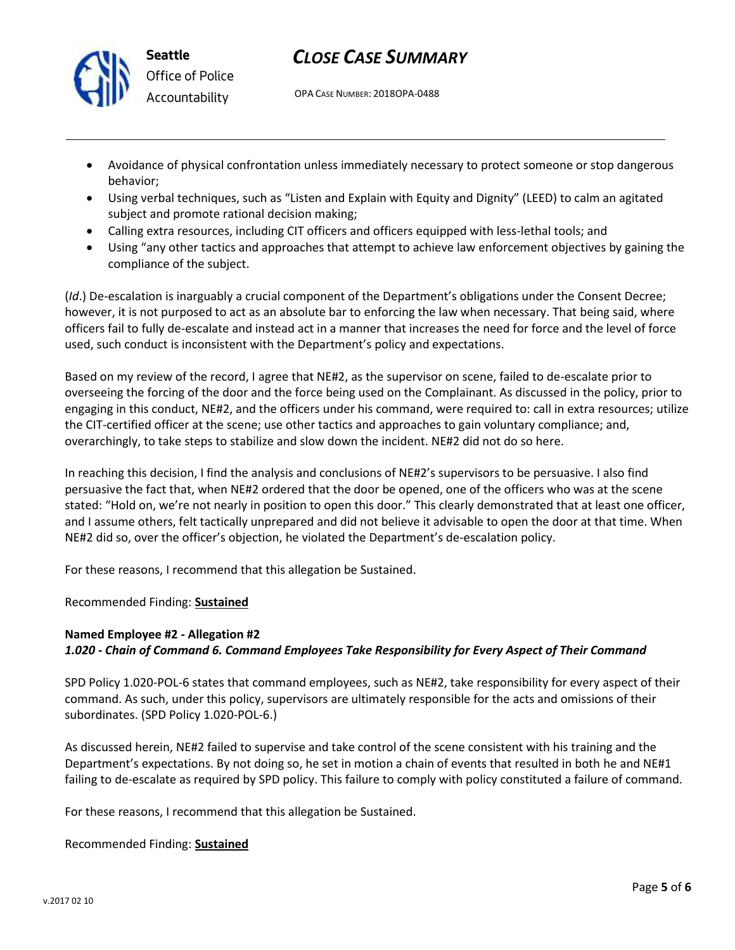

**Seattle** *Office of Police Accountability*

# *CLOSE CASE SUMMARY*

OPA CASE NUMBER: 2018OPA-0488

- Avoidance of physical confrontation unless immediately necessary to protect someone or stop dangerous behavior;
- Using verbal techniques, such as "Listen and Explain with Equity and Dignity" (LEED) to calm an agitated subject and promote rational decision making;
- Calling extra resources, including CIT officers and officers equipped with less-lethal tools; and
- Using "any other tactics and approaches that attempt to achieve law enforcement objectives by gaining the compliance of the subject.

(*Id*.) De-escalation is inarguably a crucial component of the Department's obligations under the Consent Decree; however, it is not purposed to act as an absolute bar to enforcing the law when necessary. That being said, where officers fail to fully de-escalate and instead act in a manner that increases the need for force and the level of force used, such conduct is inconsistent with the Department's policy and expectations.

Based on my review of the record, I agree that NE#2, as the supervisor on scene, failed to de-escalate prior to overseeing the forcing of the door and the force being used on the Complainant. As discussed in the policy, prior to engaging in this conduct, NE#2, and the officers under his command, were required to: call in extra resources; utilize the CIT-certified officer at the scene; use other tactics and approaches to gain voluntary compliance; and, overarchingly, to take steps to stabilize and slow down the incident. NE#2 did not do so here.

In reaching this decision, I find the analysis and conclusions of NE#2's supervisors to be persuasive. I also find persuasive the fact that, when NE#2 ordered that the door be opened, one of the officers who was at the scene stated: "Hold on, we're not nearly in position to open this door." This clearly demonstrated that at least one officer, and I assume others, felt tactically unprepared and did not believe it advisable to open the door at that time. When NE#2 did so, over the officer's objection, he violated the Department's de-escalation policy.

For these reasons, I recommend that this allegation be Sustained.

Recommended Finding: **Sustained**

### **Named Employee #2 - Allegation #2** *1.020 - Chain of Command 6. Command Employees Take Responsibility for Every Aspect of Their Command*

SPD Policy 1.020-POL-6 states that command employees, such as NE#2, take responsibility for every aspect of their command. As such, under this policy, supervisors are ultimately responsible for the acts and omissions of their subordinates. (SPD Policy 1.020-POL-6.)

As discussed herein, NE#2 failed to supervise and take control of the scene consistent with his training and the Department's expectations. By not doing so, he set in motion a chain of events that resulted in both he and NE#1 failing to de-escalate as required by SPD policy. This failure to comply with policy constituted a failure of command.

For these reasons, I recommend that this allegation be Sustained.

#### Recommended Finding: **Sustained**